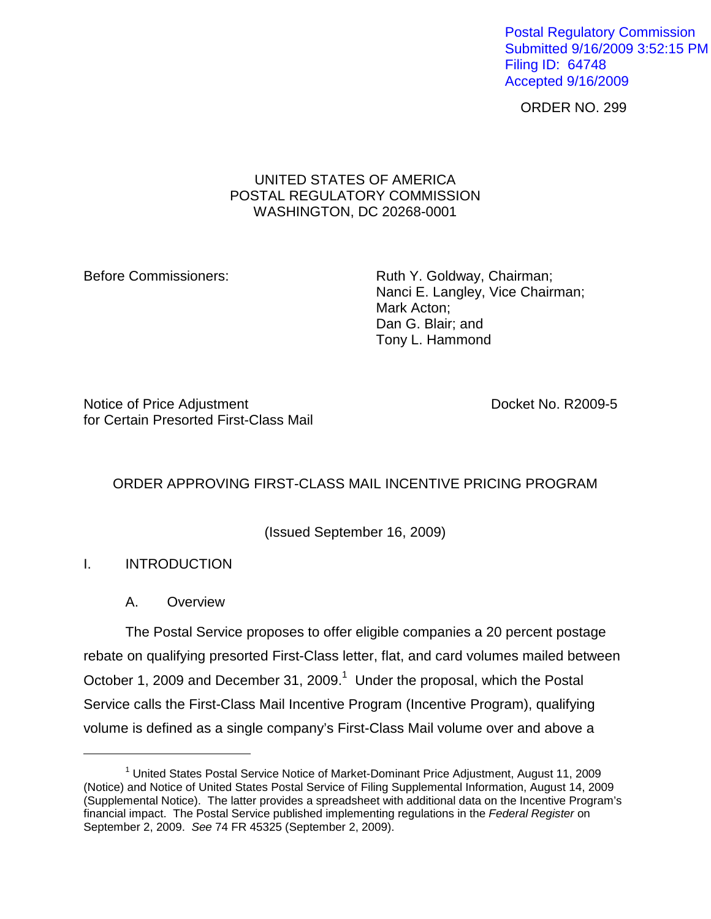Postal Regulatory Commission Submitted 9/16/2009 3:52:15 PM Filing ID: 64748 Accepted 9/16/2009

ORDER NO. 299

## UNITED STATES OF AMERICA POSTAL REGULATORY COMMISSION WASHINGTON, DC 20268-0001

Before Commissioners: Ruth Y. Goldway, Chairman; Nanci E. Langley, Vice Chairman; Mark Acton; Dan G. Blair; and Tony L. Hammond

Notice of Price Adjustment Notice of Price Adjustment for Certain Presorted First-Class Mail

# ORDER APPROVING FIRST-CLASS MAIL INCENTIVE PRICING PROGRAM

(Issued September 16, 2009)

# I. INTRODUCTION

1

A. Overview

The Postal Service proposes to offer eligible companies a 20 percent postage rebate on qualifying presorted First-Class letter, flat, and card volumes mailed between October 1, 2009 and December 31, 2009.<sup>1</sup> Under the proposal, which the Postal Service calls the First-Class Mail Incentive Program (Incentive Program), qualifying volume is defined as a single company's First-Class Mail volume over and above a

<sup>&</sup>lt;sup>1</sup> United States Postal Service Notice of Market-Dominant Price Adjustment, August 11, 2009 (Notice) and Notice of United States Postal Service of Filing Supplemental Information, August 14, 2009 (Supplemental Notice). The latter provides a spreadsheet with additional data on the Incentive Program's financial impact. The Postal Service published implementing regulations in the Federal Register on September 2, 2009. See 74 FR 45325 (September 2, 2009).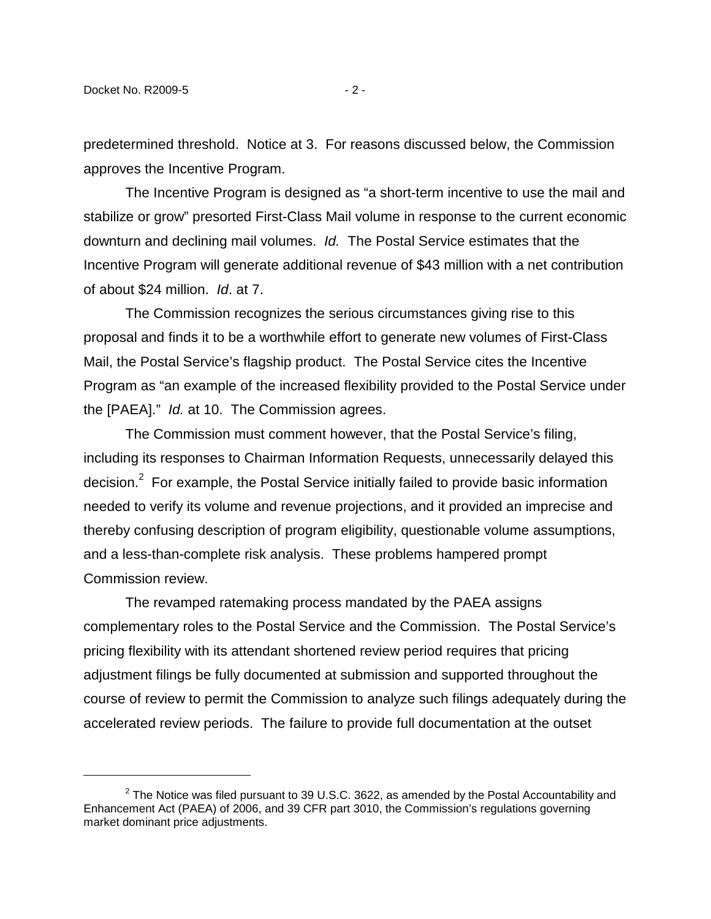predetermined threshold. Notice at 3. For reasons discussed below, the Commission approves the Incentive Program.

The Incentive Program is designed as "a short-term incentive to use the mail and stabilize or grow" presorted First-Class Mail volume in response to the current economic downturn and declining mail volumes. Id. The Postal Service estimates that the Incentive Program will generate additional revenue of \$43 million with a net contribution of about \$24 million. Id. at 7.

The Commission recognizes the serious circumstances giving rise to this proposal and finds it to be a worthwhile effort to generate new volumes of First-Class Mail, the Postal Service's flagship product. The Postal Service cites the Incentive Program as "an example of the increased flexibility provided to the Postal Service under the [PAEA]." Id. at 10. The Commission agrees.

The Commission must comment however, that the Postal Service's filing, including its responses to Chairman Information Requests, unnecessarily delayed this decision. $2$  For example, the Postal Service initially failed to provide basic information needed to verify its volume and revenue projections, and it provided an imprecise and thereby confusing description of program eligibility, questionable volume assumptions, and a less-than-complete risk analysis. These problems hampered prompt Commission review.

The revamped ratemaking process mandated by the PAEA assigns complementary roles to the Postal Service and the Commission. The Postal Service's pricing flexibility with its attendant shortened review period requires that pricing adjustment filings be fully documented at submission and supported throughout the course of review to permit the Commission to analyze such filings adequately during the accelerated review periods. The failure to provide full documentation at the outset

 $2$  The Notice was filed pursuant to 39 U.S.C. 3622, as amended by the Postal Accountability and Enhancement Act (PAEA) of 2006, and 39 CFR part 3010, the Commission's regulations governing market dominant price adjustments.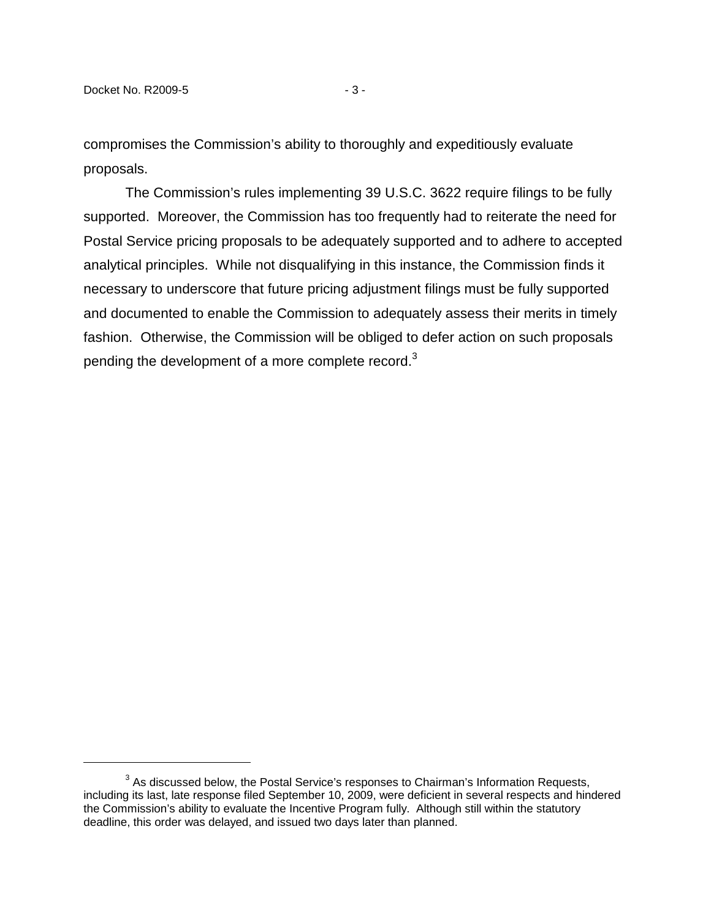compromises the Commission's ability to thoroughly and expeditiously evaluate proposals.

The Commission's rules implementing 39 U.S.C. 3622 require filings to be fully supported. Moreover, the Commission has too frequently had to reiterate the need for Postal Service pricing proposals to be adequately supported and to adhere to accepted analytical principles. While not disqualifying in this instance, the Commission finds it necessary to underscore that future pricing adjustment filings must be fully supported and documented to enable the Commission to adequately assess their merits in timely fashion. Otherwise, the Commission will be obliged to defer action on such proposals pending the development of a more complete record.<sup>3</sup>

 $3$  As discussed below, the Postal Service's responses to Chairman's Information Requests, including its last, late response filed September 10, 2009, were deficient in several respects and hindered the Commission's ability to evaluate the Incentive Program fully. Although still within the statutory deadline, this order was delayed, and issued two days later than planned.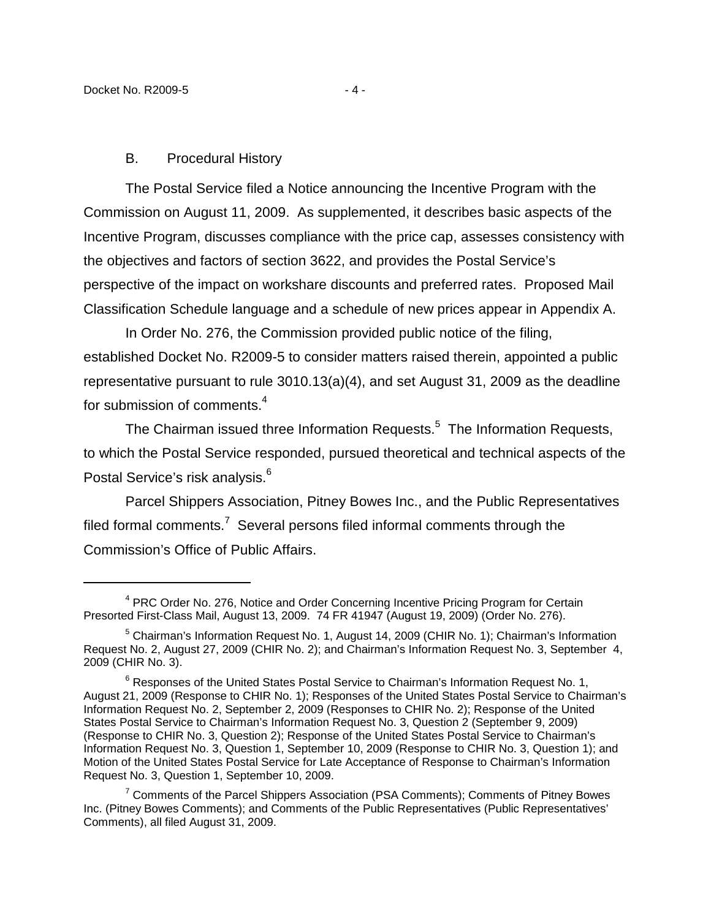### B. Procedural History

The Postal Service filed a Notice announcing the Incentive Program with the Commission on August 11, 2009. As supplemented, it describes basic aspects of the Incentive Program, discusses compliance with the price cap, assesses consistency with the objectives and factors of section 3622, and provides the Postal Service's perspective of the impact on workshare discounts and preferred rates. Proposed Mail Classification Schedule language and a schedule of new prices appear in Appendix A.

In Order No. 276, the Commission provided public notice of the filing, established Docket No. R2009-5 to consider matters raised therein, appointed a public representative pursuant to rule 3010.13(a)(4), and set August 31, 2009 as the deadline for submission of comments.<sup>4</sup>

The Chairman issued three Information Requests. $5$  The Information Requests, to which the Postal Service responded, pursued theoretical and technical aspects of the Postal Service's risk analysis.<sup>6</sup>

Parcel Shippers Association, Pitney Bowes Inc., and the Public Representatives filed formal comments.<sup>7</sup> Several persons filed informal comments through the Commission's Office of Public Affairs.

<sup>&</sup>lt;sup>4</sup> PRC Order No. 276, Notice and Order Concerning Incentive Pricing Program for Certain Presorted First-Class Mail, August 13, 2009. 74 FR 41947 (August 19, 2009) (Order No. 276).

<sup>&</sup>lt;sup>5</sup> Chairman's Information Request No. 1, August 14, 2009 (CHIR No. 1); Chairman's Information Request No. 2, August 27, 2009 (CHIR No. 2); and Chairman's Information Request No. 3, September 4, 2009 (CHIR No. 3).

 $6$  Responses of the United States Postal Service to Chairman's Information Request No. 1, August 21, 2009 (Response to CHIR No. 1); Responses of the United States Postal Service to Chairman's Information Request No. 2, September 2, 2009 (Responses to CHIR No. 2); Response of the United States Postal Service to Chairman's Information Request No. 3, Question 2 (September 9, 2009) (Response to CHIR No. 3, Question 2); Response of the United States Postal Service to Chairman's Information Request No. 3, Question 1, September 10, 2009 (Response to CHIR No. 3, Question 1); and Motion of the United States Postal Service for Late Acceptance of Response to Chairman's Information Request No. 3, Question 1, September 10, 2009.

<sup>&</sup>lt;sup>7</sup> Comments of the Parcel Shippers Association (PSA Comments); Comments of Pitney Bowes Inc. (Pitney Bowes Comments); and Comments of the Public Representatives (Public Representatives' Comments), all filed August 31, 2009.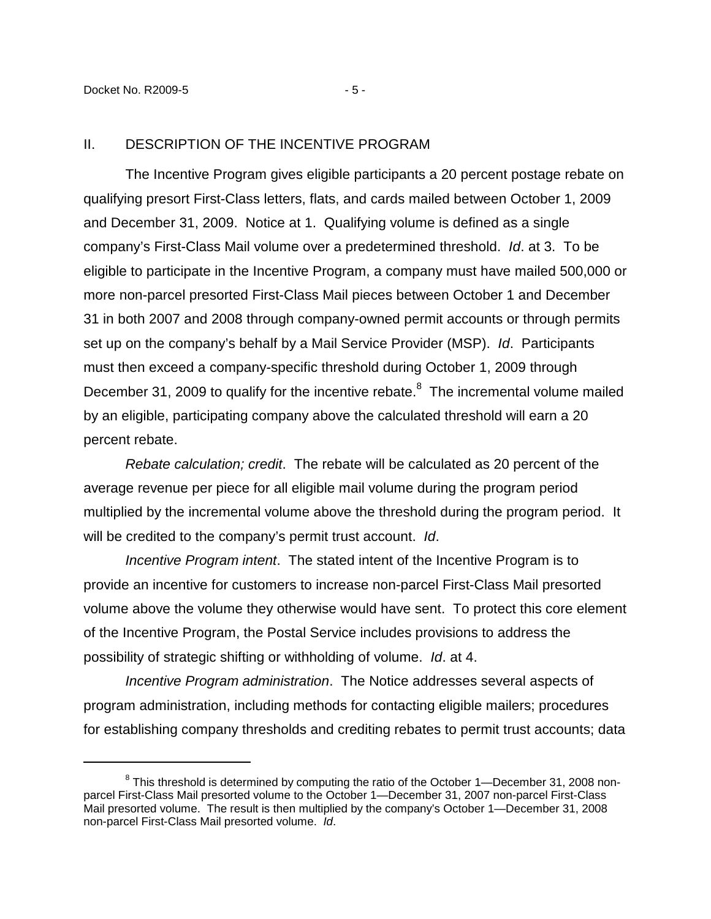#### II. DESCRIPTION OF THE INCENTIVE PROGRAM

The Incentive Program gives eligible participants a 20 percent postage rebate on qualifying presort First-Class letters, flats, and cards mailed between October 1, 2009 and December 31, 2009. Notice at 1. Qualifying volume is defined as a single company's First-Class Mail volume over a predetermined threshold. Id. at 3. To be eligible to participate in the Incentive Program, a company must have mailed 500,000 or more non-parcel presorted First-Class Mail pieces between October 1 and December 31 in both 2007 and 2008 through company-owned permit accounts or through permits set up on the company's behalf by a Mail Service Provider (MSP). Id. Participants must then exceed a company-specific threshold during October 1, 2009 through December 31, 2009 to qualify for the incentive rebate.<sup>8</sup> The incremental volume mailed by an eligible, participating company above the calculated threshold will earn a 20 percent rebate.

Rebate calculation; credit. The rebate will be calculated as 20 percent of the average revenue per piece for all eligible mail volume during the program period multiplied by the incremental volume above the threshold during the program period. It will be credited to the company's permit trust account. Id.

Incentive Program intent. The stated intent of the Incentive Program is to provide an incentive for customers to increase non-parcel First-Class Mail presorted volume above the volume they otherwise would have sent. To protect this core element of the Incentive Program, the Postal Service includes provisions to address the possibility of strategic shifting or withholding of volume. Id. at 4.

Incentive Program administration. The Notice addresses several aspects of program administration, including methods for contacting eligible mailers; procedures for establishing company thresholds and crediting rebates to permit trust accounts; data

 $8$  This threshold is determined by computing the ratio of the October 1—December 31, 2008 nonparcel First-Class Mail presorted volume to the October 1—December 31, 2007 non-parcel First-Class Mail presorted volume. The result is then multiplied by the company's October 1—December 31, 2008 non-parcel First-Class Mail presorted volume. Id.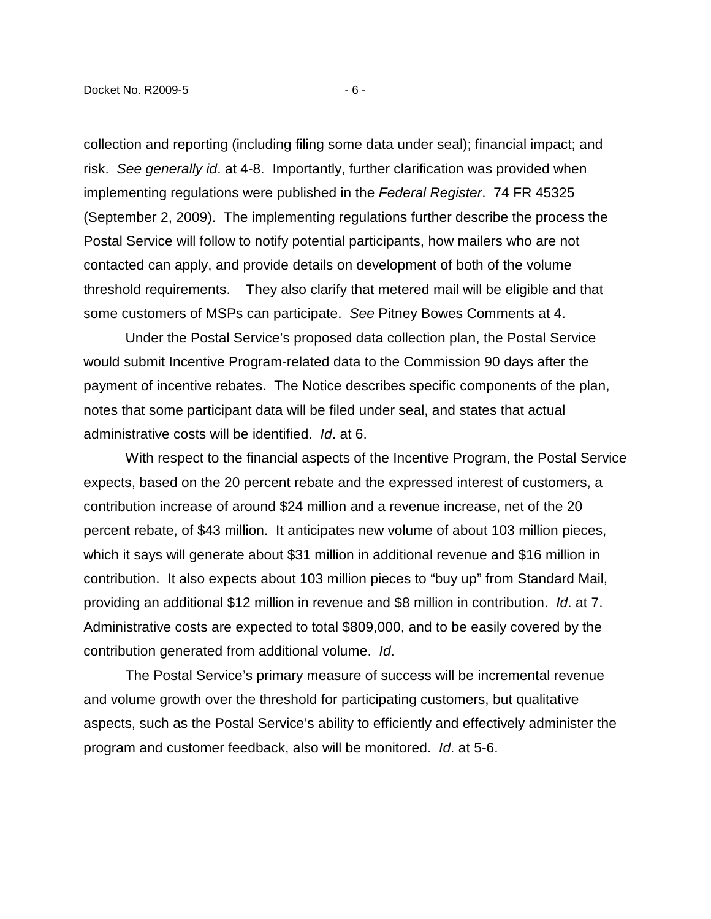collection and reporting (including filing some data under seal); financial impact; and risk. See generally id. at 4-8. Importantly, further clarification was provided when implementing regulations were published in the Federal Register. 74 FR 45325 (September 2, 2009). The implementing regulations further describe the process the Postal Service will follow to notify potential participants, how mailers who are not contacted can apply, and provide details on development of both of the volume threshold requirements. They also clarify that metered mail will be eligible and that some customers of MSPs can participate. See Pitney Bowes Comments at 4.

Under the Postal Service's proposed data collection plan, the Postal Service would submit Incentive Program-related data to the Commission 90 days after the payment of incentive rebates. The Notice describes specific components of the plan, notes that some participant data will be filed under seal, and states that actual administrative costs will be identified. Id. at 6.

With respect to the financial aspects of the Incentive Program, the Postal Service expects, based on the 20 percent rebate and the expressed interest of customers, a contribution increase of around \$24 million and a revenue increase, net of the 20 percent rebate, of \$43 million. It anticipates new volume of about 103 million pieces, which it says will generate about \$31 million in additional revenue and \$16 million in contribution. It also expects about 103 million pieces to "buy up" from Standard Mail, providing an additional \$12 million in revenue and \$8 million in contribution. Id. at 7. Administrative costs are expected to total \$809,000, and to be easily covered by the contribution generated from additional volume. Id.

The Postal Service's primary measure of success will be incremental revenue and volume growth over the threshold for participating customers, but qualitative aspects, such as the Postal Service's ability to efficiently and effectively administer the program and customer feedback, also will be monitored. Id. at 5-6.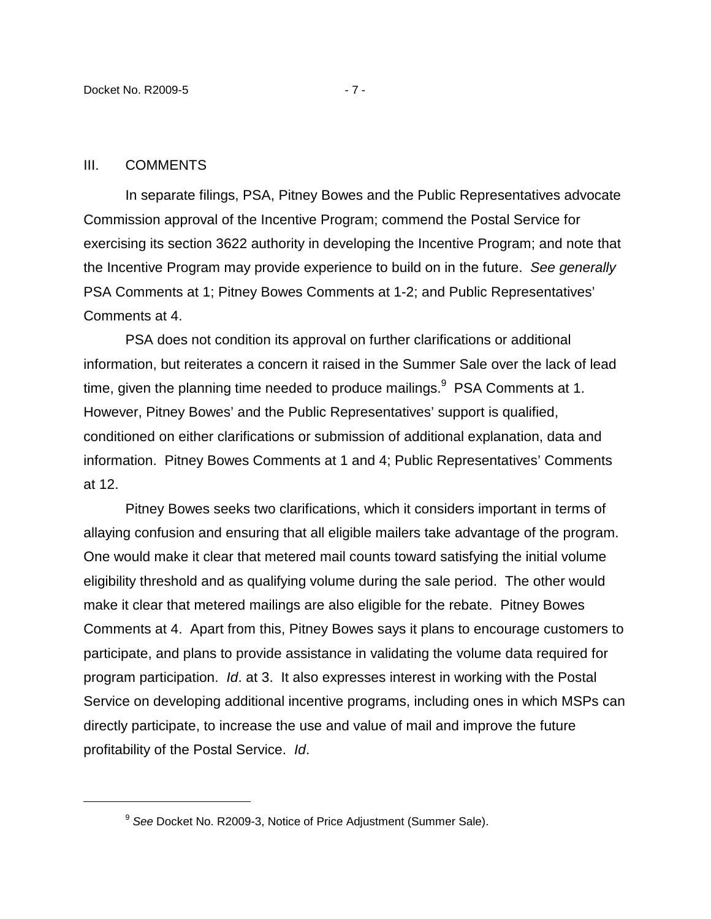#### III. COMMENTS

1

In separate filings, PSA, Pitney Bowes and the Public Representatives advocate Commission approval of the Incentive Program; commend the Postal Service for exercising its section 3622 authority in developing the Incentive Program; and note that the Incentive Program may provide experience to build on in the future. See generally PSA Comments at 1; Pitney Bowes Comments at 1-2; and Public Representatives' Comments at 4.

PSA does not condition its approval on further clarifications or additional information, but reiterates a concern it raised in the Summer Sale over the lack of lead time, given the planning time needed to produce mailings. $9$  PSA Comments at 1. However, Pitney Bowes' and the Public Representatives' support is qualified, conditioned on either clarifications or submission of additional explanation, data and information. Pitney Bowes Comments at 1 and 4; Public Representatives' Comments at 12.

Pitney Bowes seeks two clarifications, which it considers important in terms of allaying confusion and ensuring that all eligible mailers take advantage of the program. One would make it clear that metered mail counts toward satisfying the initial volume eligibility threshold and as qualifying volume during the sale period. The other would make it clear that metered mailings are also eligible for the rebate. Pitney Bowes Comments at 4. Apart from this, Pitney Bowes says it plans to encourage customers to participate, and plans to provide assistance in validating the volume data required for program participation. Id. at 3. It also expresses interest in working with the Postal Service on developing additional incentive programs, including ones in which MSPs can directly participate, to increase the use and value of mail and improve the future profitability of the Postal Service. Id.

<sup>&</sup>lt;sup>9</sup> See Docket No. R2009-3, Notice of Price Adjustment (Summer Sale).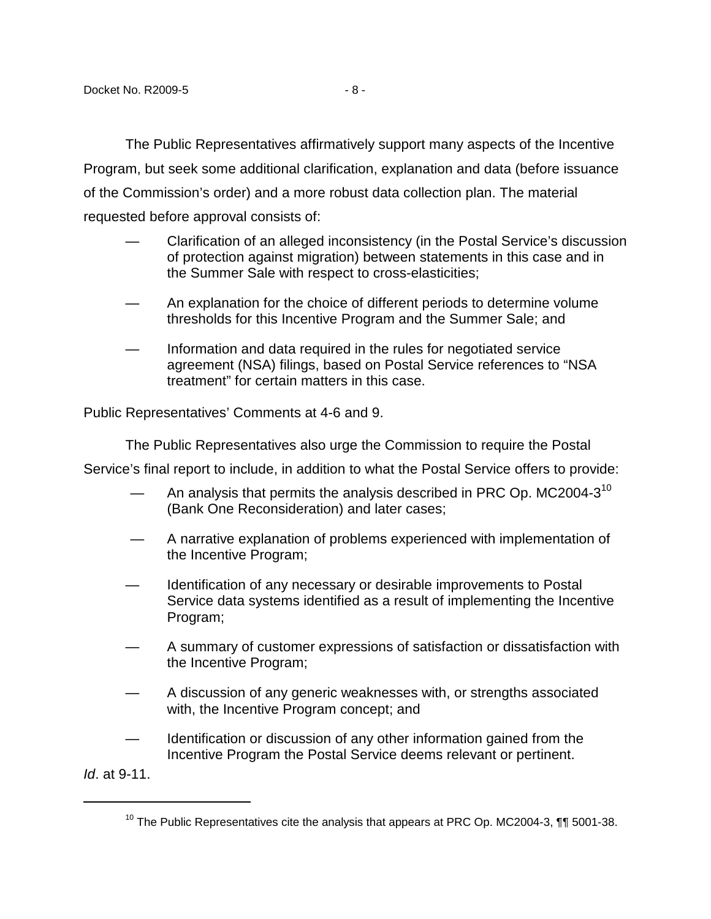The Public Representatives affirmatively support many aspects of the Incentive Program, but seek some additional clarification, explanation and data (before issuance of the Commission's order) and a more robust data collection plan. The material requested before approval consists of:

- Clarification of an alleged inconsistency (in the Postal Service's discussion of protection against migration) between statements in this case and in the Summer Sale with respect to cross-elasticities;
- An explanation for the choice of different periods to determine volume thresholds for this Incentive Program and the Summer Sale; and
- Information and data required in the rules for negotiated service agreement (NSA) filings, based on Postal Service references to "NSA treatment" for certain matters in this case.

Public Representatives' Comments at 4-6 and 9.

The Public Representatives also urge the Commission to require the Postal

Service's final report to include, in addition to what the Postal Service offers to provide:

- An analysis that permits the analysis described in PRC Op. MC2004-3 $^{10}$ (Bank One Reconsideration) and later cases;
- A narrative explanation of problems experienced with implementation of the Incentive Program;
- Identification of any necessary or desirable improvements to Postal Service data systems identified as a result of implementing the Incentive Program;
- A summary of customer expressions of satisfaction or dissatisfaction with the Incentive Program;
- A discussion of any generic weaknesses with, or strengths associated with, the Incentive Program concept; and
- Identification or discussion of any other information gained from the Incentive Program the Postal Service deems relevant or pertinent.

Id. at 9-11.

1

 $10$  The Public Representatives cite the analysis that appears at PRC Op. MC2004-3,  $\P\P$  5001-38.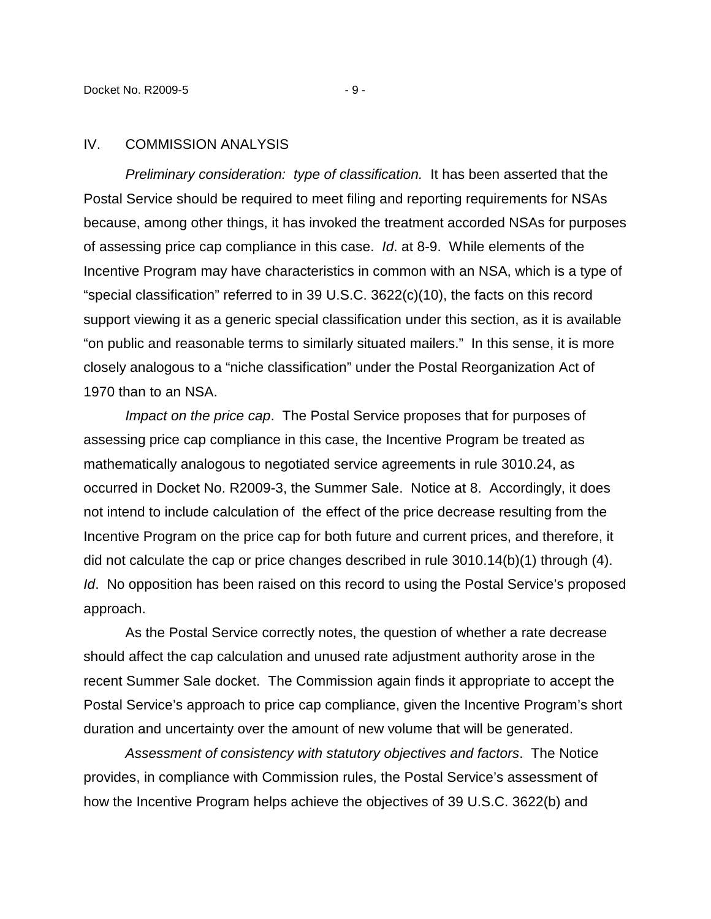#### IV. COMMISSION ANALYSIS

Preliminary consideration: type of classification. It has been asserted that the Postal Service should be required to meet filing and reporting requirements for NSAs because, among other things, it has invoked the treatment accorded NSAs for purposes of assessing price cap compliance in this case. Id. at 8-9. While elements of the Incentive Program may have characteristics in common with an NSA, which is a type of "special classification" referred to in 39 U.S.C. 3622(c)(10), the facts on this record support viewing it as a generic special classification under this section, as it is available "on public and reasonable terms to similarly situated mailers." In this sense, it is more closely analogous to a "niche classification" under the Postal Reorganization Act of 1970 than to an NSA.

Impact on the price cap. The Postal Service proposes that for purposes of assessing price cap compliance in this case, the Incentive Program be treated as mathematically analogous to negotiated service agreements in rule 3010.24, as occurred in Docket No. R2009-3, the Summer Sale. Notice at 8. Accordingly, it does not intend to include calculation of the effect of the price decrease resulting from the Incentive Program on the price cap for both future and current prices, and therefore, it did not calculate the cap or price changes described in rule 3010.14(b)(1) through (4). Id. No opposition has been raised on this record to using the Postal Service's proposed approach.

As the Postal Service correctly notes, the question of whether a rate decrease should affect the cap calculation and unused rate adjustment authority arose in the recent Summer Sale docket. The Commission again finds it appropriate to accept the Postal Service's approach to price cap compliance, given the Incentive Program's short duration and uncertainty over the amount of new volume that will be generated.

Assessment of consistency with statutory objectives and factors. The Notice provides, in compliance with Commission rules, the Postal Service's assessment of how the Incentive Program helps achieve the objectives of 39 U.S.C. 3622(b) and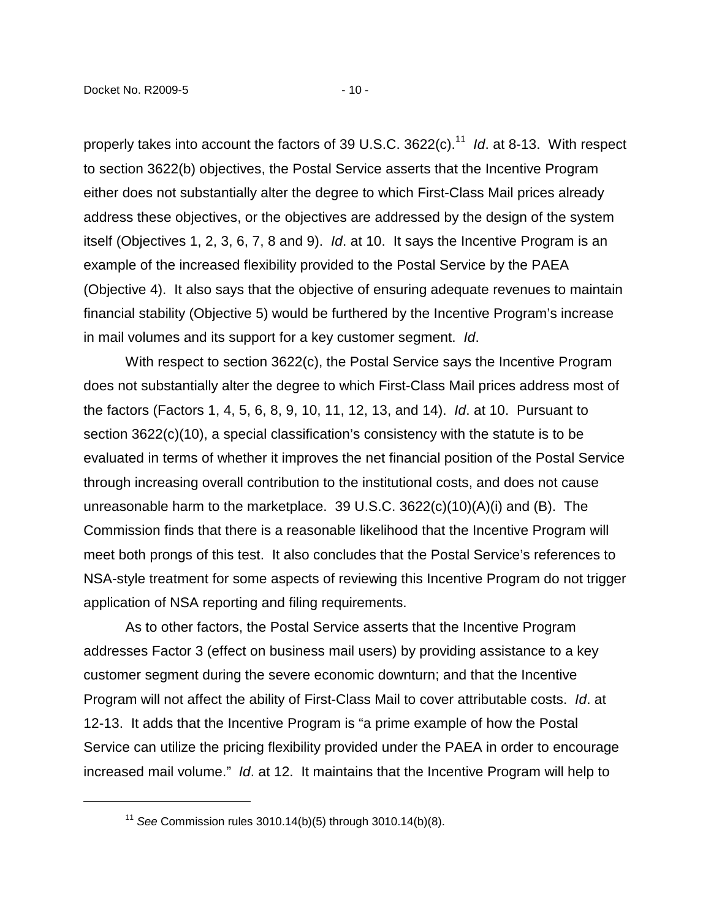properly takes into account the factors of 39 U.S.C. 3622(c). $^{11}$  Id. at 8-13. With respect to section 3622(b) objectives, the Postal Service asserts that the Incentive Program either does not substantially alter the degree to which First-Class Mail prices already address these objectives, or the objectives are addressed by the design of the system itself (Objectives 1, 2, 3, 6, 7, 8 and 9). Id. at 10. It says the Incentive Program is an example of the increased flexibility provided to the Postal Service by the PAEA (Objective 4). It also says that the objective of ensuring adequate revenues to maintain financial stability (Objective 5) would be furthered by the Incentive Program's increase in mail volumes and its support for a key customer segment. Id.

With respect to section 3622(c), the Postal Service says the Incentive Program does not substantially alter the degree to which First-Class Mail prices address most of the factors (Factors 1, 4, 5, 6, 8, 9, 10, 11, 12, 13, and 14). Id. at 10. Pursuant to section 3622(c)(10), a special classification's consistency with the statute is to be evaluated in terms of whether it improves the net financial position of the Postal Service through increasing overall contribution to the institutional costs, and does not cause unreasonable harm to the marketplace. 39 U.S.C. 3622(c)(10)(A)(i) and (B). The Commission finds that there is a reasonable likelihood that the Incentive Program will meet both prongs of this test. It also concludes that the Postal Service's references to NSA-style treatment for some aspects of reviewing this Incentive Program do not trigger application of NSA reporting and filing requirements.

As to other factors, the Postal Service asserts that the Incentive Program addresses Factor 3 (effect on business mail users) by providing assistance to a key customer segment during the severe economic downturn; and that the Incentive Program will not affect the ability of First-Class Mail to cover attributable costs. Id. at 12-13. It adds that the Incentive Program is "a prime example of how the Postal Service can utilize the pricing flexibility provided under the PAEA in order to encourage increased mail volume." Id. at 12. It maintains that the Incentive Program will help to

<sup>&</sup>lt;sup>11</sup> See Commission rules  $3010.14(b)(5)$  through  $3010.14(b)(8)$ .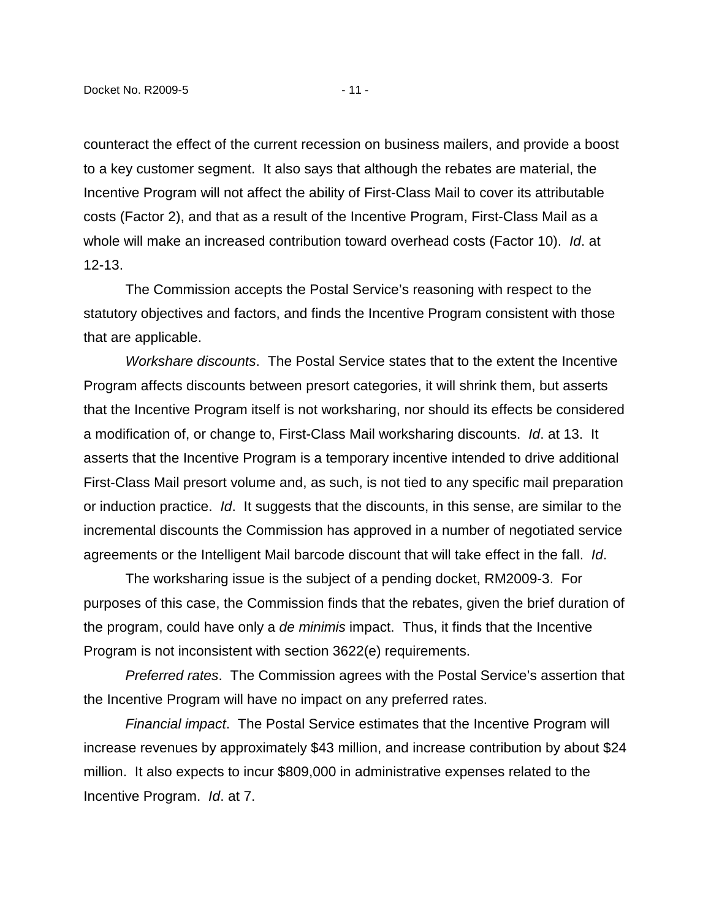counteract the effect of the current recession on business mailers, and provide a boost to a key customer segment. It also says that although the rebates are material, the Incentive Program will not affect the ability of First-Class Mail to cover its attributable costs (Factor 2), and that as a result of the Incentive Program, First-Class Mail as a whole will make an increased contribution toward overhead costs (Factor 10). Id. at 12-13.

The Commission accepts the Postal Service's reasoning with respect to the statutory objectives and factors, and finds the Incentive Program consistent with those that are applicable.

Workshare discounts. The Postal Service states that to the extent the Incentive Program affects discounts between presort categories, it will shrink them, but asserts that the Incentive Program itself is not worksharing, nor should its effects be considered a modification of, or change to, First-Class Mail worksharing discounts. Id. at 13. It asserts that the Incentive Program is a temporary incentive intended to drive additional First-Class Mail presort volume and, as such, is not tied to any specific mail preparation or induction practice. Id. It suggests that the discounts, in this sense, are similar to the incremental discounts the Commission has approved in a number of negotiated service agreements or the Intelligent Mail barcode discount that will take effect in the fall. Id.

 The worksharing issue is the subject of a pending docket, RM2009-3. For purposes of this case, the Commission finds that the rebates, given the brief duration of the program, could have only a de minimis impact. Thus, it finds that the Incentive Program is not inconsistent with section 3622(e) requirements.

Preferred rates. The Commission agrees with the Postal Service's assertion that the Incentive Program will have no impact on any preferred rates.

Financial impact. The Postal Service estimates that the Incentive Program will increase revenues by approximately \$43 million, and increase contribution by about \$24 million. It also expects to incur \$809,000 in administrative expenses related to the Incentive Program. Id. at 7.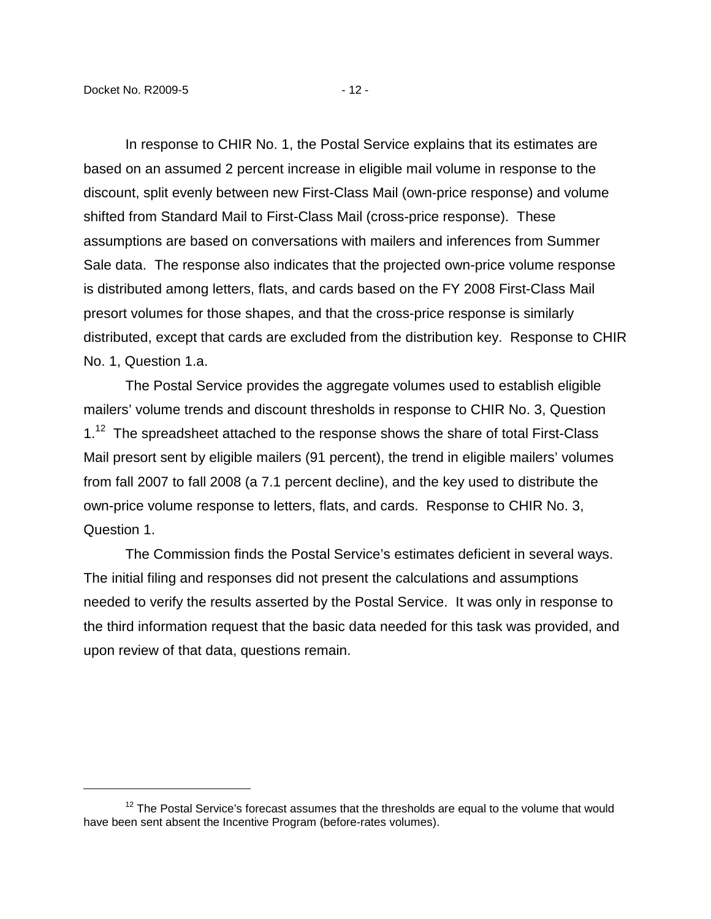In response to CHIR No. 1, the Postal Service explains that its estimates are based on an assumed 2 percent increase in eligible mail volume in response to the discount, split evenly between new First-Class Mail (own-price response) and volume shifted from Standard Mail to First-Class Mail (cross-price response). These assumptions are based on conversations with mailers and inferences from Summer Sale data. The response also indicates that the projected own-price volume response is distributed among letters, flats, and cards based on the FY 2008 First-Class Mail presort volumes for those shapes, and that the cross-price response is similarly distributed, except that cards are excluded from the distribution key. Response to CHIR No. 1, Question 1.a.

The Postal Service provides the aggregate volumes used to establish eligible mailers' volume trends and discount thresholds in response to CHIR No. 3, Question  $1<sup>12</sup>$  The spreadsheet attached to the response shows the share of total First-Class Mail presort sent by eligible mailers (91 percent), the trend in eligible mailers' volumes from fall 2007 to fall 2008 (a 7.1 percent decline), and the key used to distribute the own-price volume response to letters, flats, and cards. Response to CHIR No. 3, Question 1.

The Commission finds the Postal Service's estimates deficient in several ways. The initial filing and responses did not present the calculations and assumptions needed to verify the results asserted by the Postal Service. It was only in response to the third information request that the basic data needed for this task was provided, and upon review of that data, questions remain.

 $12$  The Postal Service's forecast assumes that the thresholds are equal to the volume that would have been sent absent the Incentive Program (before-rates volumes).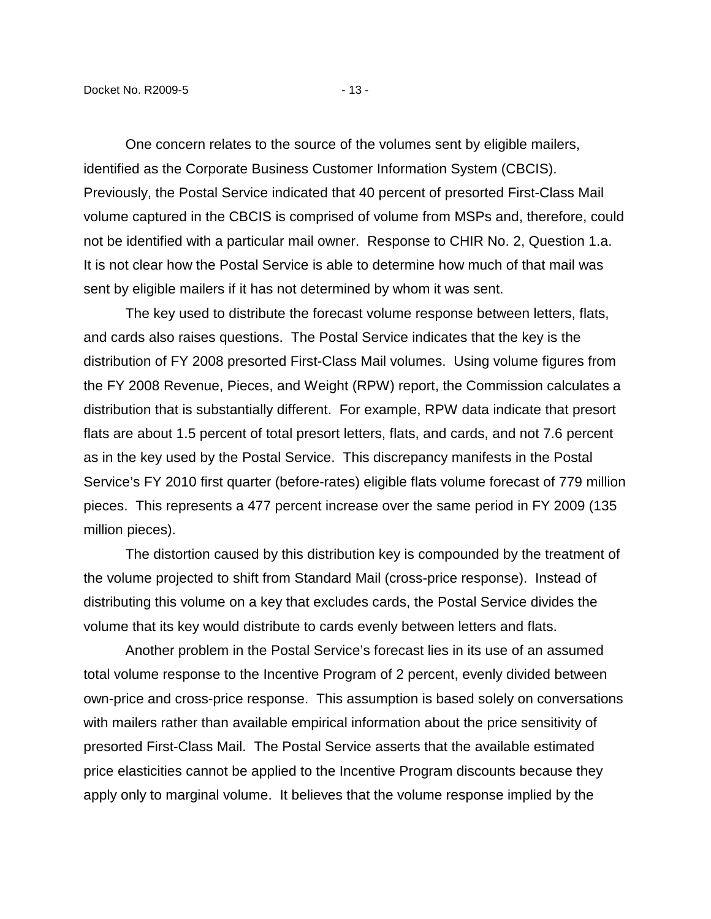One concern relates to the source of the volumes sent by eligible mailers, identified as the Corporate Business Customer Information System (CBCIS). Previously, the Postal Service indicated that 40 percent of presorted First-Class Mail volume captured in the CBCIS is comprised of volume from MSPs and, therefore, could not be identified with a particular mail owner. Response to CHIR No. 2, Question 1.a. It is not clear how the Postal Service is able to determine how much of that mail was sent by eligible mailers if it has not determined by whom it was sent.

The key used to distribute the forecast volume response between letters, flats, and cards also raises questions. The Postal Service indicates that the key is the distribution of FY 2008 presorted First-Class Mail volumes. Using volume figures from the FY 2008 Revenue, Pieces, and Weight (RPW) report, the Commission calculates a distribution that is substantially different. For example, RPW data indicate that presort flats are about 1.5 percent of total presort letters, flats, and cards, and not 7.6 percent as in the key used by the Postal Service. This discrepancy manifests in the Postal Service's FY 2010 first quarter (before-rates) eligible flats volume forecast of 779 million pieces. This represents a 477 percent increase over the same period in FY 2009 (135 million pieces).

The distortion caused by this distribution key is compounded by the treatment of the volume projected to shift from Standard Mail (cross-price response). Instead of distributing this volume on a key that excludes cards, the Postal Service divides the volume that its key would distribute to cards evenly between letters and flats.

Another problem in the Postal Service's forecast lies in its use of an assumed total volume response to the Incentive Program of 2 percent, evenly divided between own-price and cross-price response. This assumption is based solely on conversations with mailers rather than available empirical information about the price sensitivity of presorted First-Class Mail. The Postal Service asserts that the available estimated price elasticities cannot be applied to the Incentive Program discounts because they apply only to marginal volume. It believes that the volume response implied by the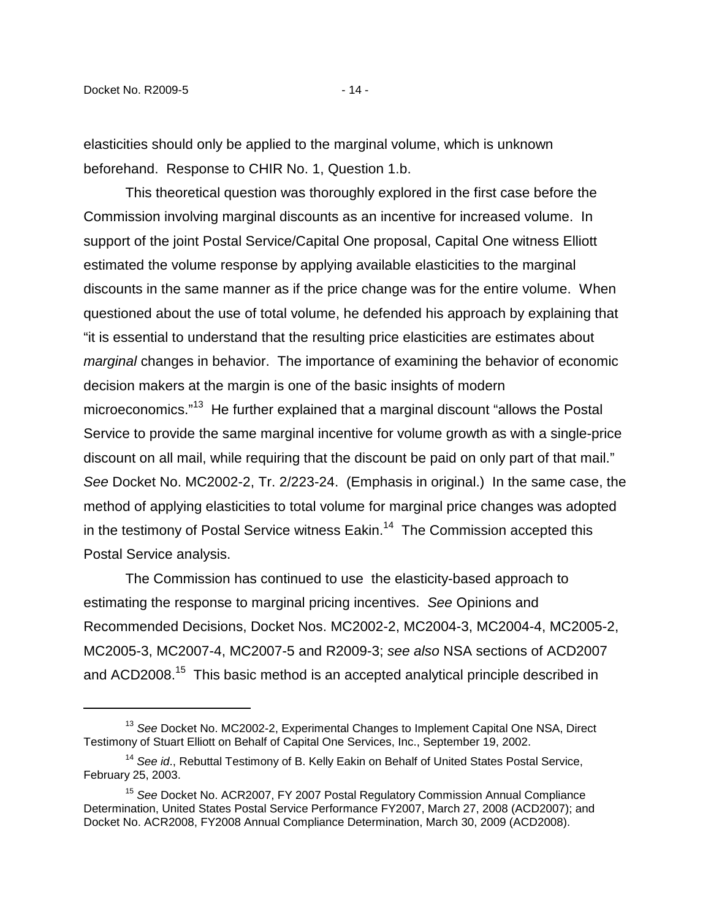elasticities should only be applied to the marginal volume, which is unknown beforehand. Response to CHIR No. 1, Question 1.b.

This theoretical question was thoroughly explored in the first case before the Commission involving marginal discounts as an incentive for increased volume. In support of the joint Postal Service/Capital One proposal, Capital One witness Elliott estimated the volume response by applying available elasticities to the marginal discounts in the same manner as if the price change was for the entire volume. When questioned about the use of total volume, he defended his approach by explaining that "it is essential to understand that the resulting price elasticities are estimates about marginal changes in behavior. The importance of examining the behavior of economic decision makers at the margin is one of the basic insights of modern microeconomics."<sup>13</sup> He further explained that a marginal discount "allows the Postal Service to provide the same marginal incentive for volume growth as with a single-price discount on all mail, while requiring that the discount be paid on only part of that mail." See Docket No. MC2002-2, Tr. 2/223-24. (Emphasis in original.) In the same case, the method of applying elasticities to total volume for marginal price changes was adopted in the testimony of Postal Service witness Eakin.<sup>14</sup> The Commission accepted this Postal Service analysis.

The Commission has continued to use the elasticity-based approach to estimating the response to marginal pricing incentives. See Opinions and Recommended Decisions, Docket Nos. MC2002-2, MC2004-3, MC2004-4, MC2005-2, MC2005-3, MC2007-4, MC2007-5 and R2009-3; see also NSA sections of ACD2007 and ACD2008.<sup>15</sup> This basic method is an accepted analytical principle described in

<sup>&</sup>lt;sup>13</sup> See Docket No. MC2002-2, Experimental Changes to Implement Capital One NSA, Direct Testimony of Stuart Elliott on Behalf of Capital One Services, Inc., September 19, 2002.

<sup>&</sup>lt;sup>14</sup> See id., Rebuttal Testimony of B. Kelly Eakin on Behalf of United States Postal Service, February 25, 2003.

<sup>&</sup>lt;sup>15</sup> See Docket No. ACR2007, FY 2007 Postal Regulatory Commission Annual Compliance Determination, United States Postal Service Performance FY2007, March 27, 2008 (ACD2007); and Docket No. ACR2008, FY2008 Annual Compliance Determination, March 30, 2009 (ACD2008).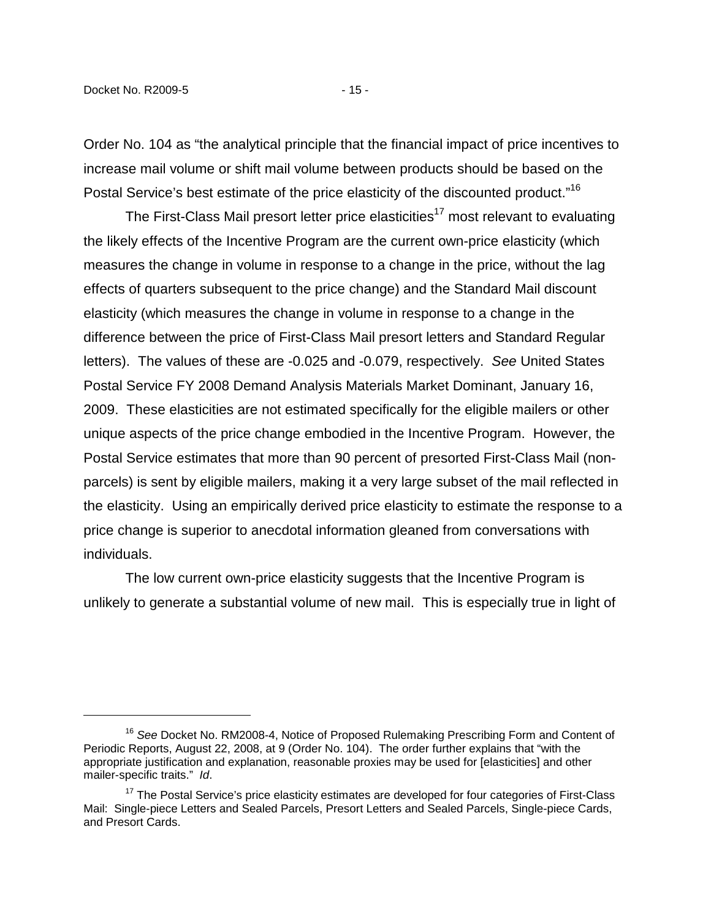Order No. 104 as "the analytical principle that the financial impact of price incentives to increase mail volume or shift mail volume between products should be based on the Postal Service's best estimate of the price elasticity of the discounted product."<sup>16</sup>

The First-Class Mail presort letter price elasticities<sup>17</sup> most relevant to evaluating the likely effects of the Incentive Program are the current own-price elasticity (which measures the change in volume in response to a change in the price, without the lag effects of quarters subsequent to the price change) and the Standard Mail discount elasticity (which measures the change in volume in response to a change in the difference between the price of First-Class Mail presort letters and Standard Regular letters). The values of these are -0.025 and -0.079, respectively. See United States Postal Service FY 2008 Demand Analysis Materials Market Dominant, January 16, 2009. These elasticities are not estimated specifically for the eligible mailers or other unique aspects of the price change embodied in the Incentive Program. However, the Postal Service estimates that more than 90 percent of presorted First-Class Mail (nonparcels) is sent by eligible mailers, making it a very large subset of the mail reflected in the elasticity. Using an empirically derived price elasticity to estimate the response to a price change is superior to anecdotal information gleaned from conversations with individuals.

The low current own-price elasticity suggests that the Incentive Program is unlikely to generate a substantial volume of new mail. This is especially true in light of

<sup>&</sup>lt;sup>16</sup> See Docket No. RM2008-4, Notice of Proposed Rulemaking Prescribing Form and Content of Periodic Reports, August 22, 2008, at 9 (Order No. 104). The order further explains that "with the appropriate justification and explanation, reasonable proxies may be used for [elasticities] and other mailer-specific traits." Id.

 $17$  The Postal Service's price elasticity estimates are developed for four categories of First-Class Mail: Single-piece Letters and Sealed Parcels, Presort Letters and Sealed Parcels, Single-piece Cards, and Presort Cards.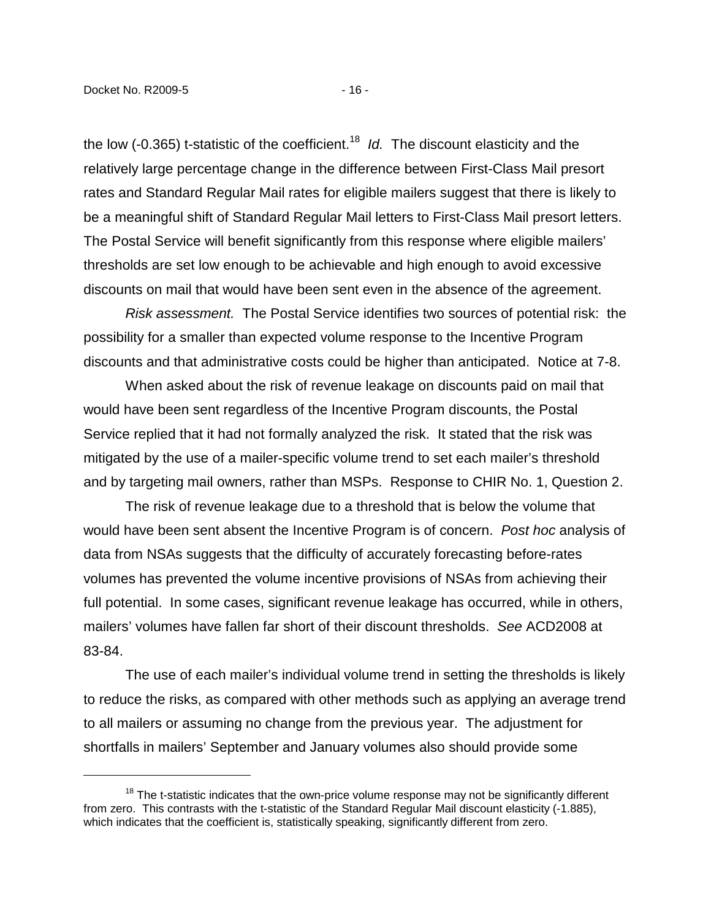the low (-0.365) t-statistic of the coefficient.<sup>18</sup> Id. The discount elasticity and the relatively large percentage change in the difference between First-Class Mail presort rates and Standard Regular Mail rates for eligible mailers suggest that there is likely to be a meaningful shift of Standard Regular Mail letters to First-Class Mail presort letters. The Postal Service will benefit significantly from this response where eligible mailers' thresholds are set low enough to be achievable and high enough to avoid excessive discounts on mail that would have been sent even in the absence of the agreement.

Risk assessment. The Postal Service identifies two sources of potential risk: the possibility for a smaller than expected volume response to the Incentive Program discounts and that administrative costs could be higher than anticipated. Notice at 7-8.

When asked about the risk of revenue leakage on discounts paid on mail that would have been sent regardless of the Incentive Program discounts, the Postal Service replied that it had not formally analyzed the risk. It stated that the risk was mitigated by the use of a mailer-specific volume trend to set each mailer's threshold and by targeting mail owners, rather than MSPs. Response to CHIR No. 1, Question 2.

The risk of revenue leakage due to a threshold that is below the volume that would have been sent absent the Incentive Program is of concern. Post hoc analysis of data from NSAs suggests that the difficulty of accurately forecasting before-rates volumes has prevented the volume incentive provisions of NSAs from achieving their full potential. In some cases, significant revenue leakage has occurred, while in others, mailers' volumes have fallen far short of their discount thresholds. See ACD2008 at 83-84.

The use of each mailer's individual volume trend in setting the thresholds is likely to reduce the risks, as compared with other methods such as applying an average trend to all mailers or assuming no change from the previous year. The adjustment for shortfalls in mailers' September and January volumes also should provide some

 $18$  The t-statistic indicates that the own-price volume response may not be significantly different from zero. This contrasts with the t-statistic of the Standard Regular Mail discount elasticity (-1.885), which indicates that the coefficient is, statistically speaking, significantly different from zero.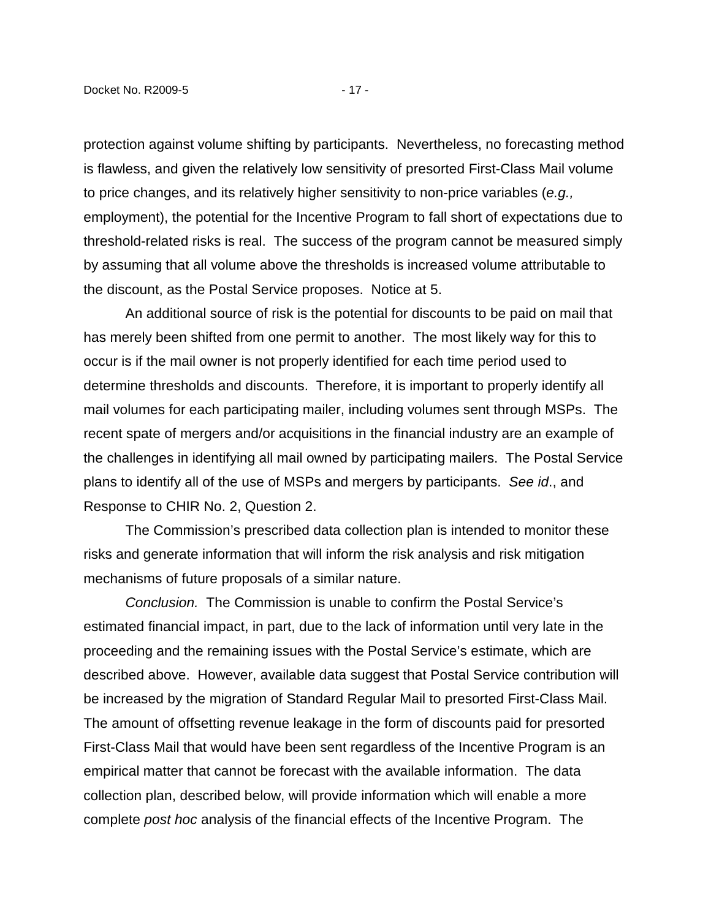protection against volume shifting by participants. Nevertheless, no forecasting method is flawless, and given the relatively low sensitivity of presorted First-Class Mail volume to price changes, and its relatively higher sensitivity to non-price variables (e.g., employment), the potential for the Incentive Program to fall short of expectations due to threshold-related risks is real. The success of the program cannot be measured simply by assuming that all volume above the thresholds is increased volume attributable to the discount, as the Postal Service proposes. Notice at 5.

An additional source of risk is the potential for discounts to be paid on mail that has merely been shifted from one permit to another. The most likely way for this to occur is if the mail owner is not properly identified for each time period used to determine thresholds and discounts. Therefore, it is important to properly identify all mail volumes for each participating mailer, including volumes sent through MSPs. The recent spate of mergers and/or acquisitions in the financial industry are an example of the challenges in identifying all mail owned by participating mailers. The Postal Service plans to identify all of the use of MSPs and mergers by participants. See id., and Response to CHIR No. 2, Question 2.

The Commission's prescribed data collection plan is intended to monitor these risks and generate information that will inform the risk analysis and risk mitigation mechanisms of future proposals of a similar nature.

Conclusion. The Commission is unable to confirm the Postal Service's estimated financial impact, in part, due to the lack of information until very late in the proceeding and the remaining issues with the Postal Service's estimate, which are described above. However, available data suggest that Postal Service contribution will be increased by the migration of Standard Regular Mail to presorted First-Class Mail. The amount of offsetting revenue leakage in the form of discounts paid for presorted First-Class Mail that would have been sent regardless of the Incentive Program is an empirical matter that cannot be forecast with the available information. The data collection plan, described below, will provide information which will enable a more complete post hoc analysis of the financial effects of the Incentive Program. The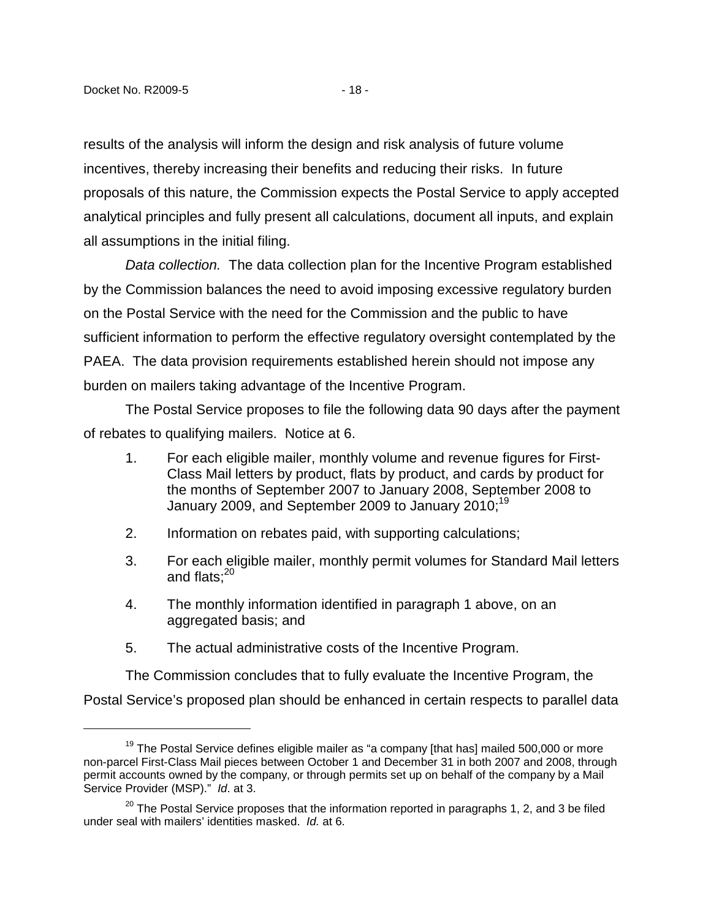results of the analysis will inform the design and risk analysis of future volume incentives, thereby increasing their benefits and reducing their risks. In future proposals of this nature, the Commission expects the Postal Service to apply accepted analytical principles and fully present all calculations, document all inputs, and explain all assumptions in the initial filing.

Data collection. The data collection plan for the Incentive Program established by the Commission balances the need to avoid imposing excessive regulatory burden on the Postal Service with the need for the Commission and the public to have sufficient information to perform the effective regulatory oversight contemplated by the PAEA. The data provision requirements established herein should not impose any burden on mailers taking advantage of the Incentive Program.

The Postal Service proposes to file the following data 90 days after the payment of rebates to qualifying mailers. Notice at 6.

- 1. For each eligible mailer, monthly volume and revenue figures for First-Class Mail letters by product, flats by product, and cards by product for the months of September 2007 to January 2008, September 2008 to January 2009, and September 2009 to January 2010; $^{19}$
- 2. Information on rebates paid, with supporting calculations;
- 3. For each eligible mailer, monthly permit volumes for Standard Mail letters and flats: $20$
- 4. The monthly information identified in paragraph 1 above, on an aggregated basis; and
- 5. The actual administrative costs of the Incentive Program.

The Commission concludes that to fully evaluate the Incentive Program, the Postal Service's proposed plan should be enhanced in certain respects to parallel data

 $19$  The Postal Service defines eligible mailer as "a company [that has] mailed 500,000 or more non-parcel First-Class Mail pieces between October 1 and December 31 in both 2007 and 2008, through permit accounts owned by the company, or through permits set up on behalf of the company by a Mail Service Provider (MSP)." Id. at 3.

 $20$  The Postal Service proposes that the information reported in paragraphs 1, 2, and 3 be filed under seal with mailers' identities masked. Id. at 6.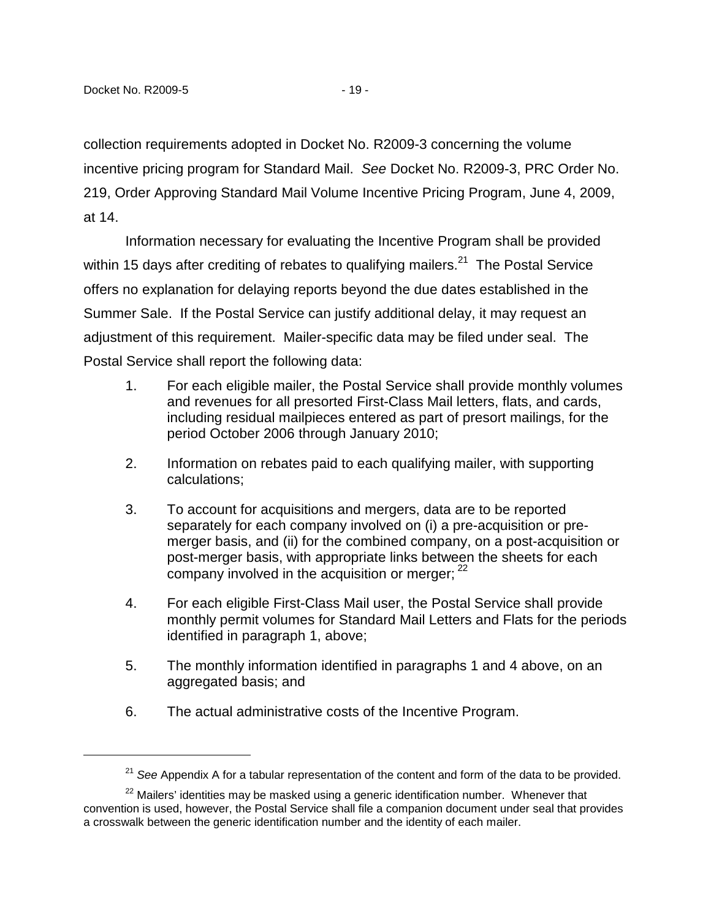collection requirements adopted in Docket No. R2009-3 concerning the volume incentive pricing program for Standard Mail. See Docket No. R2009-3, PRC Order No. 219, Order Approving Standard Mail Volume Incentive Pricing Program, June 4, 2009, at 14.

Information necessary for evaluating the Incentive Program shall be provided within 15 days after crediting of rebates to qualifying mailers.<sup>21</sup> The Postal Service offers no explanation for delaying reports beyond the due dates established in the Summer Sale. If the Postal Service can justify additional delay, it may request an adjustment of this requirement. Mailer-specific data may be filed under seal. The Postal Service shall report the following data:

- 1. For each eligible mailer, the Postal Service shall provide monthly volumes and revenues for all presorted First-Class Mail letters, flats, and cards, including residual mailpieces entered as part of presort mailings, for the period October 2006 through January 2010;
- 2. Information on rebates paid to each qualifying mailer, with supporting calculations;
- 3. To account for acquisitions and mergers, data are to be reported separately for each company involved on (i) a pre-acquisition or premerger basis, and (ii) for the combined company, on a post-acquisition or post-merger basis, with appropriate links between the sheets for each company involved in the acquisition or merger;  $22$
- 4. For each eligible First-Class Mail user, the Postal Service shall provide monthly permit volumes for Standard Mail Letters and Flats for the periods identified in paragraph 1, above;
- 5. The monthly information identified in paragraphs 1 and 4 above, on an aggregated basis; and
- 6. The actual administrative costs of the Incentive Program.

 $21$  See Appendix A for a tabular representation of the content and form of the data to be provided.

 $22$  Mailers' identities may be masked using a generic identification number. Whenever that convention is used, however, the Postal Service shall file a companion document under seal that provides a crosswalk between the generic identification number and the identity of each mailer.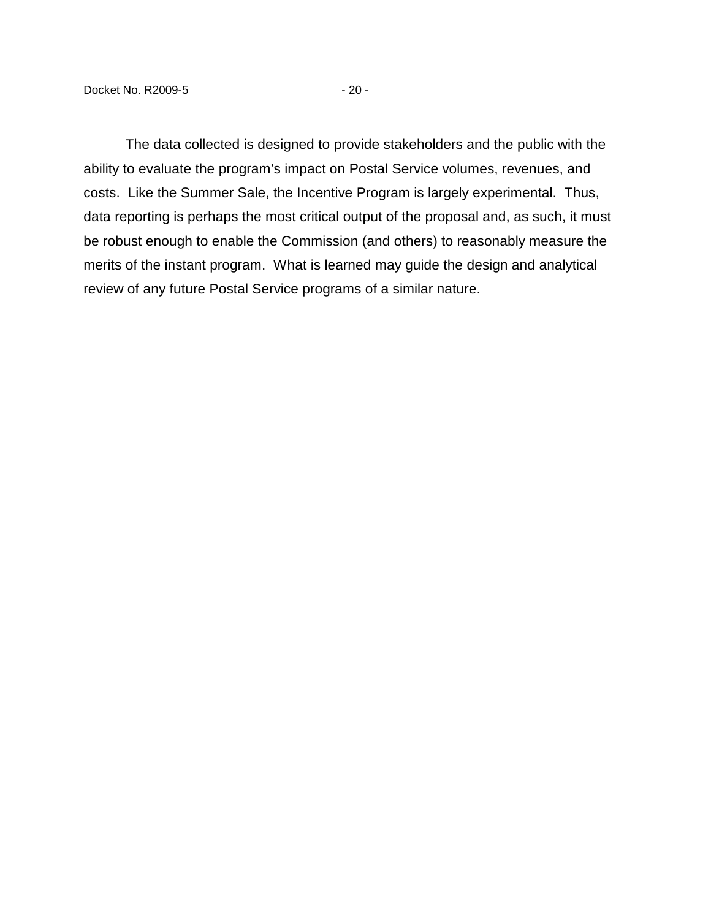The data collected is designed to provide stakeholders and the public with the ability to evaluate the program's impact on Postal Service volumes, revenues, and costs. Like the Summer Sale, the Incentive Program is largely experimental. Thus, data reporting is perhaps the most critical output of the proposal and, as such, it must be robust enough to enable the Commission (and others) to reasonably measure the merits of the instant program. What is learned may guide the design and analytical review of any future Postal Service programs of a similar nature.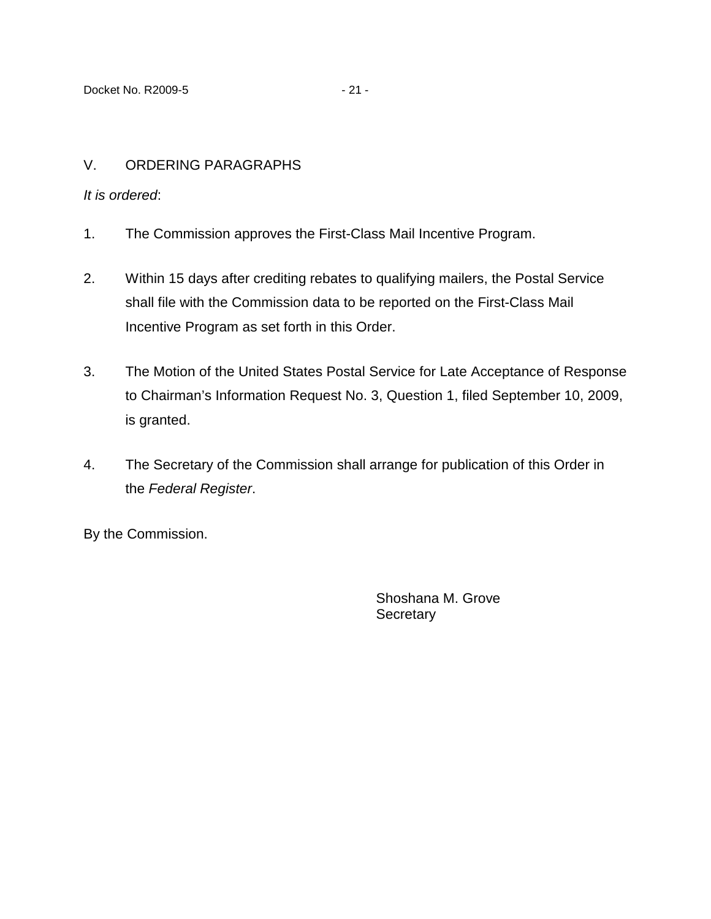## V. ORDERING PARAGRAPHS

### It is ordered:

- 1. The Commission approves the First-Class Mail Incentive Program.
- 2. Within 15 days after crediting rebates to qualifying mailers, the Postal Service shall file with the Commission data to be reported on the First-Class Mail Incentive Program as set forth in this Order.
- 3. The Motion of the United States Postal Service for Late Acceptance of Response to Chairman's Information Request No. 3, Question 1, filed September 10, 2009, is granted.
- 4. The Secretary of the Commission shall arrange for publication of this Order in the Federal Register.

By the Commission.

Shoshana M. Grove **Secretary**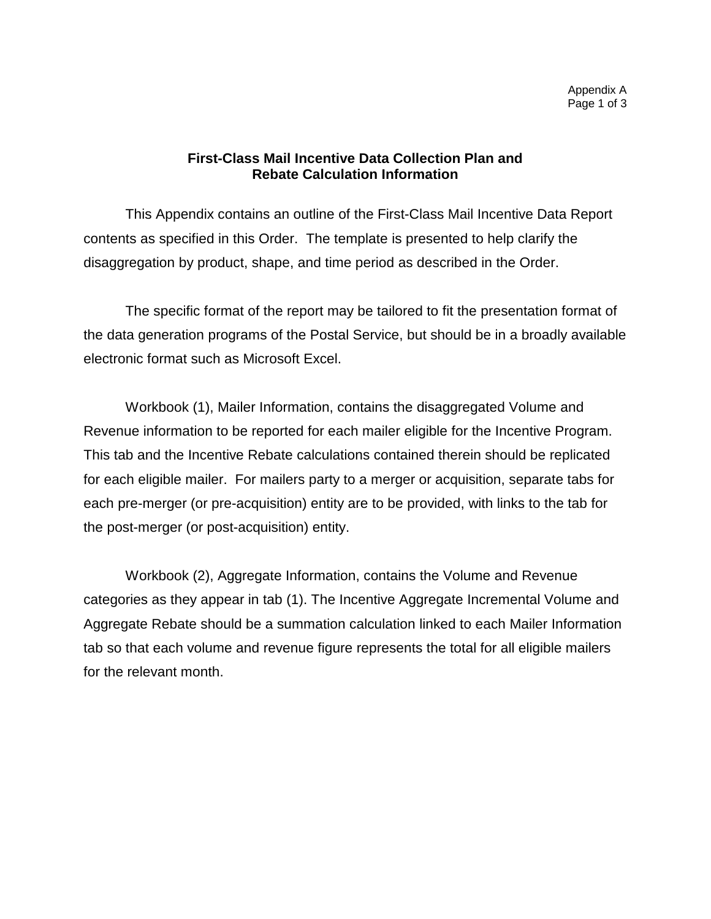## **First-Class Mail Incentive Data Collection Plan and Rebate Calculation Information**

This Appendix contains an outline of the First-Class Mail Incentive Data Report contents as specified in this Order. The template is presented to help clarify the disaggregation by product, shape, and time period as described in the Order.

The specific format of the report may be tailored to fit the presentation format of the data generation programs of the Postal Service, but should be in a broadly available electronic format such as Microsoft Excel.

Workbook (1), Mailer Information, contains the disaggregated Volume and Revenue information to be reported for each mailer eligible for the Incentive Program. This tab and the Incentive Rebate calculations contained therein should be replicated for each eligible mailer. For mailers party to a merger or acquisition, separate tabs for each pre-merger (or pre-acquisition) entity are to be provided, with links to the tab for the post-merger (or post-acquisition) entity.

Workbook (2), Aggregate Information, contains the Volume and Revenue categories as they appear in tab (1). The Incentive Aggregate Incremental Volume and Aggregate Rebate should be a summation calculation linked to each Mailer Information tab so that each volume and revenue figure represents the total for all eligible mailers for the relevant month.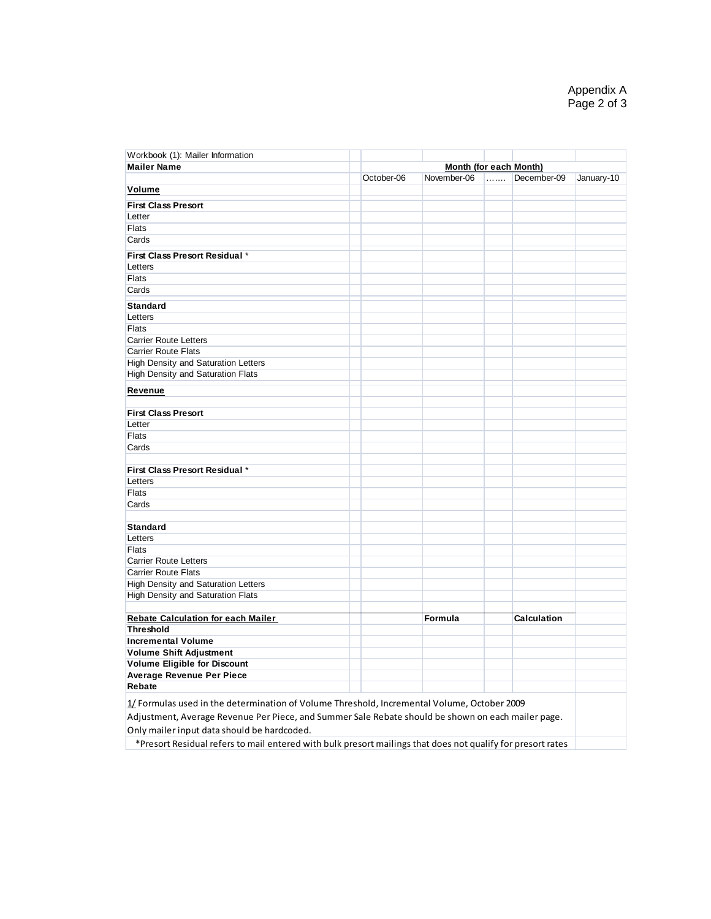| Workbook (1): Mailer Information                                                                   |                        |             |   |             |            |  |
|----------------------------------------------------------------------------------------------------|------------------------|-------------|---|-------------|------------|--|
| <b>Mailer Name</b>                                                                                 | Month (for each Month) |             |   |             |            |  |
|                                                                                                    | October-06             | November-06 | . | December-09 | January-10 |  |
| Volume                                                                                             |                        |             |   |             |            |  |
| <b>First Class Presort</b>                                                                         |                        |             |   |             |            |  |
| Letter                                                                                             |                        |             |   |             |            |  |
| Flats                                                                                              |                        |             |   |             |            |  |
| Cards                                                                                              |                        |             |   |             |            |  |
| First Class Presort Residual *                                                                     |                        |             |   |             |            |  |
| Letters                                                                                            |                        |             |   |             |            |  |
| Flats                                                                                              |                        |             |   |             |            |  |
| Cards                                                                                              |                        |             |   |             |            |  |
|                                                                                                    |                        |             |   |             |            |  |
| <b>Standard</b>                                                                                    |                        |             |   |             |            |  |
| Letters                                                                                            |                        |             |   |             |            |  |
| <b>Flats</b>                                                                                       |                        |             |   |             |            |  |
| <b>Carrier Route Letters</b>                                                                       |                        |             |   |             |            |  |
| <b>Carrier Route Flats</b>                                                                         |                        |             |   |             |            |  |
| <b>High Density and Saturation Letters</b><br>High Density and Saturation Flats                    |                        |             |   |             |            |  |
|                                                                                                    |                        |             |   |             |            |  |
| Revenue                                                                                            |                        |             |   |             |            |  |
|                                                                                                    |                        |             |   |             |            |  |
| <b>First Class Presort</b>                                                                         |                        |             |   |             |            |  |
| Letter                                                                                             |                        |             |   |             |            |  |
| <b>Flats</b>                                                                                       |                        |             |   |             |            |  |
| Cards                                                                                              |                        |             |   |             |            |  |
|                                                                                                    |                        |             |   |             |            |  |
| First Class Presort Residual *<br>Letters                                                          |                        |             |   |             |            |  |
| <b>Flats</b>                                                                                       |                        |             |   |             |            |  |
| Cards                                                                                              |                        |             |   |             |            |  |
|                                                                                                    |                        |             |   |             |            |  |
| <b>Standard</b>                                                                                    |                        |             |   |             |            |  |
| Letters                                                                                            |                        |             |   |             |            |  |
| <b>Flats</b>                                                                                       |                        |             |   |             |            |  |
| <b>Carrier Route Letters</b>                                                                       |                        |             |   |             |            |  |
| <b>Carrier Route Flats</b>                                                                         |                        |             |   |             |            |  |
| High Density and Saturation Letters                                                                |                        |             |   |             |            |  |
| High Density and Saturation Flats                                                                  |                        |             |   |             |            |  |
|                                                                                                    |                        |             |   |             |            |  |
| <b>Rebate Calculation for each Mailer</b>                                                          |                        | Formula     |   | Calculation |            |  |
| <b>Threshold</b>                                                                                   |                        |             |   |             |            |  |
| <b>Incremental Volume</b>                                                                          |                        |             |   |             |            |  |
| <b>Volume Shift Adjustment</b>                                                                     |                        |             |   |             |            |  |
| <b>Volume Eligible for Discount</b>                                                                |                        |             |   |             |            |  |
| <b>Average Revenue Per Piece</b>                                                                   |                        |             |   |             |            |  |
| <b>Rebate</b>                                                                                      |                        |             |   |             |            |  |
| 1/ Formulas used in the determination of Volume Threshold, Incremental Volume, October 2009        |                        |             |   |             |            |  |
| Adjustment, Average Revenue Per Piece, and Summer Sale Rebate should be shown on each mailer page. |                        |             |   |             |            |  |
| Only mailer input data should be hardcoded.                                                        |                        |             |   |             |            |  |
|                                                                                                    |                        |             |   |             |            |  |

\*Presort Residual refers to mail entered with bulk presort mailings that does not qualify for presort rates